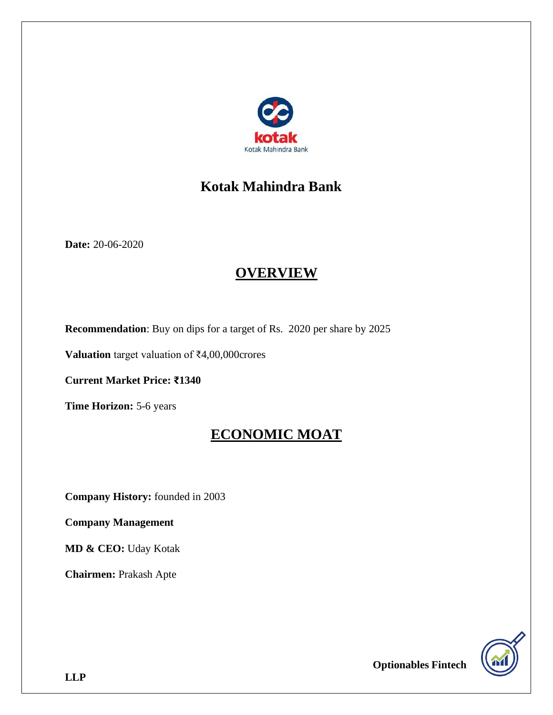

# **Kotak Mahindra Bank**

**Date:** 20-06-2020

# **OVERVIEW**

**Recommendation**: Buy on dips for a target of Rs. 2020 per share by 2025

**Valuation** target valuation of ₹4,00,000crores

**Current Market Price: ₹1340**

**Time Horizon:** 5-6 years

# **ECONOMIC MOAT**

**Company History:** founded in 2003

**Company Management**

**MD & CEO:** Uday Kotak

**Chairmen:** Prakash Apte

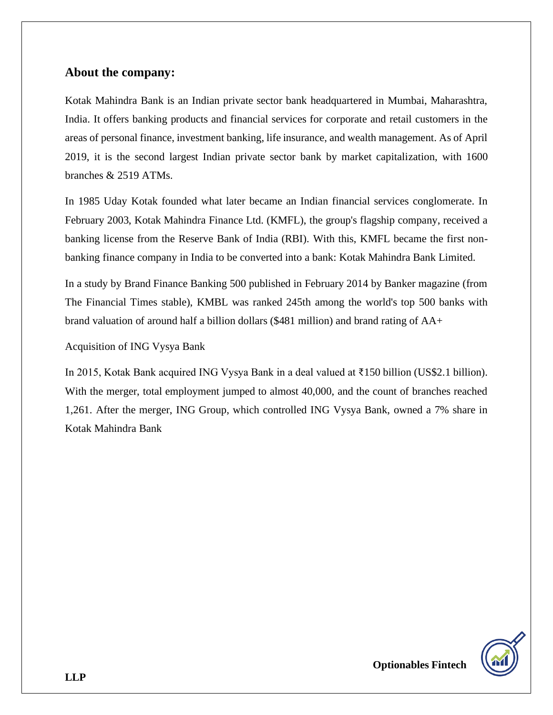#### **About the company:**

Kotak Mahindra Bank is an Indian private sector bank headquartered in Mumbai, Maharashtra, India. It offers banking products and financial services for corporate and retail customers in the areas of personal finance, investment banking, life insurance, and wealth management. As of April 2019, it is the second largest Indian private sector bank by market capitalization, with 1600 branches & 2519 ATMs.

In 1985 Uday Kotak founded what later became an Indian financial services conglomerate. In February 2003, Kotak Mahindra Finance Ltd. (KMFL), the group's flagship company, received a banking license from the Reserve Bank of India (RBI). With this, KMFL became the first nonbanking finance company in India to be converted into a bank: Kotak Mahindra Bank Limited.

In a study by Brand Finance Banking 500 published in February 2014 by Banker magazine (from The Financial Times stable), KMBL was ranked 245th among the world's top 500 banks with brand valuation of around half a billion dollars (\$481 million) and brand rating of AA+

#### Acquisition of ING Vysya Bank

In 2015, Kotak Bank acquired ING Vysya Bank in a deal valued at ₹150 billion (US\$2.1 billion). With the merger, total employment jumped to almost 40,000, and the count of branches reached 1,261. After the merger, ING Group, which controlled ING Vysya Bank, owned a 7% share in Kotak Mahindra Bank

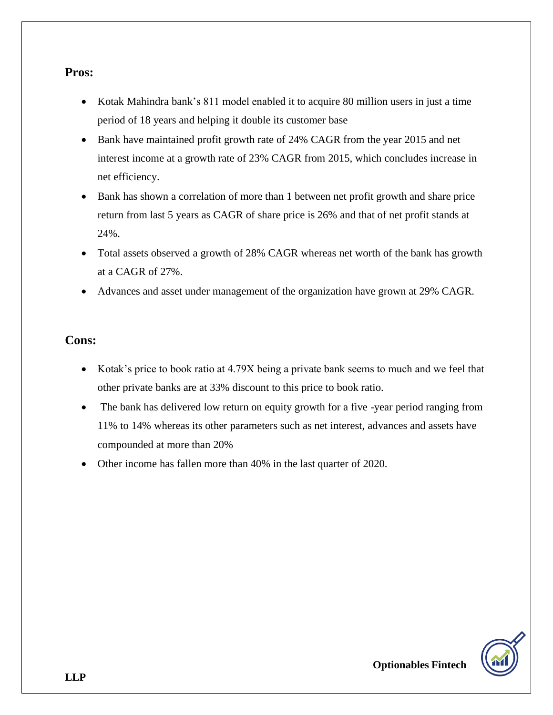#### **Pros:**

- Kotak Mahindra bank's 811 model enabled it to acquire 80 million users in just a time period of 18 years and helping it double its customer base
- Bank have maintained profit growth rate of 24% CAGR from the year 2015 and net interest income at a growth rate of 23% CAGR from 2015, which concludes increase in net efficiency.
- Bank has shown a correlation of more than 1 between net profit growth and share price return from last 5 years as CAGR of share price is 26% and that of net profit stands at 24%.
- Total assets observed a growth of 28% CAGR whereas net worth of the bank has growth at a CAGR of 27%.
- Advances and asset under management of the organization have grown at 29% CAGR.

#### **Cons:**

- Kotak's price to book ratio at 4.79X being a private bank seems to much and we feel that other private banks are at 33% discount to this price to book ratio.
- The bank has delivered low return on equity growth for a five -year period ranging from 11% to 14% whereas its other parameters such as net interest, advances and assets have compounded at more than 20%
- Other income has fallen more than 40% in the last quarter of 2020.

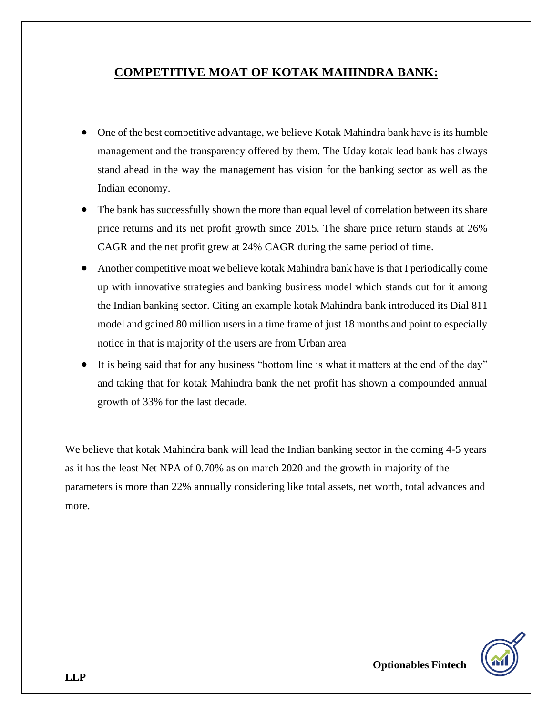### **COMPETITIVE MOAT OF KOTAK MAHINDRA BANK:**

- One of the best competitive advantage, we believe Kotak Mahindra bank have is its humble management and the transparency offered by them. The Uday kotak lead bank has always stand ahead in the way the management has vision for the banking sector as well as the Indian economy.
- The bank has successfully shown the more than equal level of correlation between its share price returns and its net profit growth since 2015. The share price return stands at 26% CAGR and the net profit grew at 24% CAGR during the same period of time.
- Another competitive moat we believe kotak Mahindra bank have is that I periodically come up with innovative strategies and banking business model which stands out for it among the Indian banking sector. Citing an example kotak Mahindra bank introduced its Dial 811 model and gained 80 million users in a time frame of just 18 months and point to especially notice in that is majority of the users are from Urban area
- It is being said that for any business "bottom line is what it matters at the end of the day" and taking that for kotak Mahindra bank the net profit has shown a compounded annual growth of 33% for the last decade.

We believe that kotak Mahindra bank will lead the Indian banking sector in the coming 4-5 years as it has the least Net NPA of 0.70% as on march 2020 and the growth in majority of the parameters is more than 22% annually considering like total assets, net worth, total advances and more.

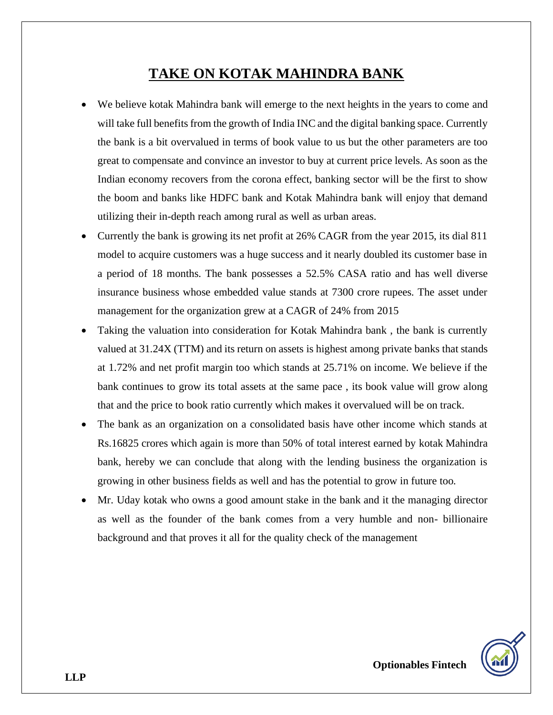# **TAKE ON KOTAK MAHINDRA BANK**

- We believe kotak Mahindra bank will emerge to the next heights in the years to come and will take full benefits from the growth of India INC and the digital banking space. Currently the bank is a bit overvalued in terms of book value to us but the other parameters are too great to compensate and convince an investor to buy at current price levels. As soon as the Indian economy recovers from the corona effect, banking sector will be the first to show the boom and banks like HDFC bank and Kotak Mahindra bank will enjoy that demand utilizing their in-depth reach among rural as well as urban areas.
- Currently the bank is growing its net profit at 26% CAGR from the year 2015, its dial 811 model to acquire customers was a huge success and it nearly doubled its customer base in a period of 18 months. The bank possesses a 52.5% CASA ratio and has well diverse insurance business whose embedded value stands at 7300 crore rupees. The asset under management for the organization grew at a CAGR of 24% from 2015
- Taking the valuation into consideration for Kotak Mahindra bank, the bank is currently valued at 31.24X (TTM) and its return on assets is highest among private banks that stands at 1.72% and net profit margin too which stands at 25.71% on income. We believe if the bank continues to grow its total assets at the same pace , its book value will grow along that and the price to book ratio currently which makes it overvalued will be on track.
- The bank as an organization on a consolidated basis have other income which stands at Rs.16825 crores which again is more than 50% of total interest earned by kotak Mahindra bank, hereby we can conclude that along with the lending business the organization is growing in other business fields as well and has the potential to grow in future too.
- Mr. Uday kotak who owns a good amount stake in the bank and it the managing director as well as the founder of the bank comes from a very humble and non- billionaire background and that proves it all for the quality check of the management

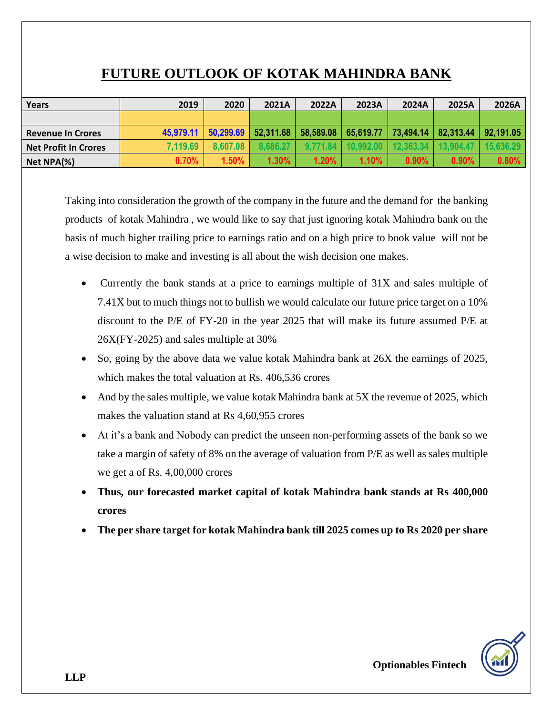# **FUTURE OUTLOOK OF KOTAK MAHINDRA BANK**

| <b>Years</b>             | 2019      | 2020      | 2021A     | 2022A    | 2023A                   | 2024A    | 2025A                   | 2026A     |
|--------------------------|-----------|-----------|-----------|----------|-------------------------|----------|-------------------------|-----------|
|                          |           |           |           |          |                         |          |                         |           |
| <b>Revenue In Crores</b> | 45.979.11 | 50.299.69 | 52,311.68 |          | $58,589.08$   65,619.77 |          | 73,494.14   82,313.44   | 92.191.05 |
| Net Profit In Crores     | 7,119.69  | 8.607.08  | 8.686.27  | 9.771.84 | 10.992.00               |          | $12.363.34$   13.904.47 | 15.636.29 |
| Net NPA(%)               | 0.70%     | $1.50\%$  | 1.30%     | 1.20%    | 1.10%                   | $0.90\%$ | $0.90\%$                | 0.80%     |

Taking into consideration the growth of the company in the future and the demand for the banking products of kotak Mahindra , we would like to say that just ignoring kotak Mahindra bank on the basis of much higher trailing price to earnings ratio and on a high price to book value will not be a wise decision to make and investing is all about the wish decision one makes.

- Currently the bank stands at a price to earnings multiple of 31X and sales multiple of 7.41X but to much things not to bullish we would calculate our future price target on a 10% discount to the P/E of FY-20 in the year 2025 that will make its future assumed P/E at 26X(FY-2025) and sales multiple at 30%
- So, going by the above data we value kotak Mahindra bank at 26X the earnings of 2025, which makes the total valuation at Rs. 406,536 crores
- And by the sales multiple, we value kotak Mahindra bank at 5X the revenue of 2025, which makes the valuation stand at Rs 4,60,955 crores
- At it's a bank and Nobody can predict the unseen non-performing assets of the bank so we take a margin of safety of 8% on the average of valuation from P/E as well as sales multiple we get a of Rs. 4,00,000 crores
- **Thus, our forecasted market capital of kotak Mahindra bank stands at Rs 400,000 crores**
- **The per share target for kotak Mahindra bank till 2025 comes up to Rs 2020 per share**

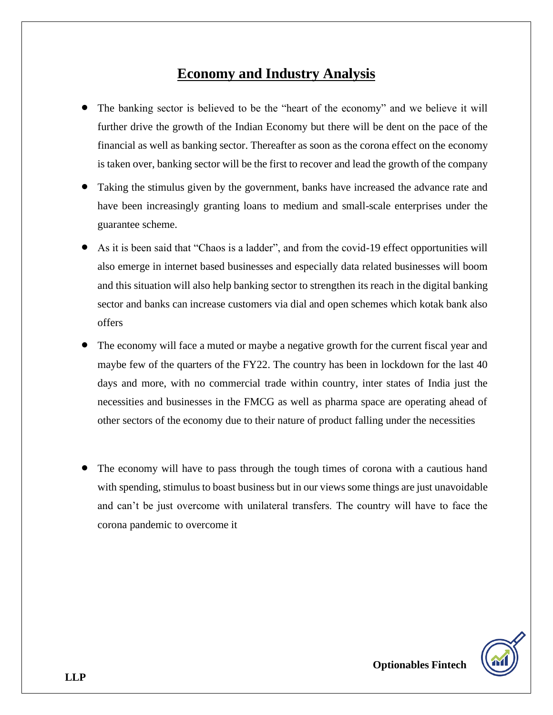# **Economy and Industry Analysis**

- The banking sector is believed to be the "heart of the economy" and we believe it will further drive the growth of the Indian Economy but there will be dent on the pace of the financial as well as banking sector. Thereafter as soon as the corona effect on the economy is taken over, banking sector will be the first to recover and lead the growth of the company
- Taking the stimulus given by the government, banks have increased the advance rate and have been increasingly granting loans to medium and small-scale enterprises under the guarantee scheme.
- As it is been said that "Chaos is a ladder", and from the covid-19 effect opportunities will also emerge in internet based businesses and especially data related businesses will boom and this situation will also help banking sector to strengthen its reach in the digital banking sector and banks can increase customers via dial and open schemes which kotak bank also offers
- The economy will face a muted or maybe a negative growth for the current fiscal year and maybe few of the quarters of the FY22. The country has been in lockdown for the last 40 days and more, with no commercial trade within country, inter states of India just the necessities and businesses in the FMCG as well as pharma space are operating ahead of other sectors of the economy due to their nature of product falling under the necessities
- The economy will have to pass through the tough times of corona with a cautious hand with spending, stimulus to boast business but in our views some things are just unavoidable and can't be just overcome with unilateral transfers. The country will have to face the corona pandemic to overcome it

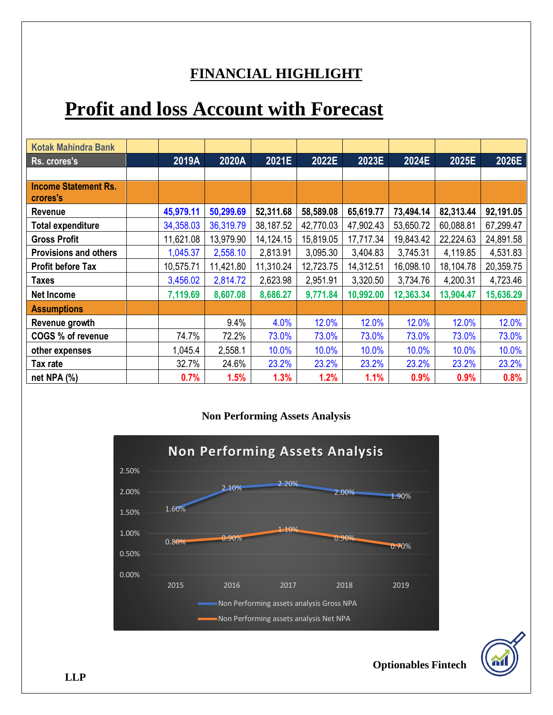# **FINANCIAL HIGHLIGHT**

# **Profit and loss Account with Forecast**

| <b>Kotak Mahindra Bank</b>              |           |           |             |           |           |           |           |           |
|-----------------------------------------|-----------|-----------|-------------|-----------|-----------|-----------|-----------|-----------|
| Rs. crores's                            | 2019A     | 2020A     | 2021E       | 2022E     | 2023E     | 2024E     | 2025E     | 2026E     |
|                                         |           |           |             |           |           |           |           |           |
| <b>Income Statement Rs.</b><br>crores's |           |           |             |           |           |           |           |           |
| <b>Revenue</b>                          | 45,979.11 | 50,299.69 | 52,311.68   | 58,589.08 | 65,619.77 | 73,494.14 | 82,313.44 | 92,191.05 |
| <b>Total expenditure</b>                | 34,358.03 | 36,319.79 | 38,187.52   | 42,770.03 | 47,902.43 | 53,650.72 | 60,088.81 | 67,299.47 |
| <b>Gross Profit</b>                     | 11,621.08 | 13,979.90 | 14, 124. 15 | 15,819.05 | 17,717.34 | 19,843.42 | 22,224.63 | 24,891.58 |
| <b>Provisions and others</b>            | 1,045.37  | 2,558.10  | 2,813.91    | 3,095.30  | 3,404.83  | 3,745.31  | 4,119.85  | 4,531.83  |
| <b>Profit before Tax</b>                | 10,575.71 | 11,421.80 | 11,310.24   | 12,723.75 | 14,312.51 | 16,098.10 | 18,104.78 | 20,359.75 |
| <b>Taxes</b>                            | 3,456.02  | 2,814.72  | 2,623.98    | 2,951.91  | 3,320.50  | 3,734.76  | 4,200.31  | 4,723.46  |
| Net Income                              | 7,119.69  | 8,607.08  | 8,686.27    | 9,771.84  | 10,992.00 | 12,363.34 | 13,904.47 | 15,636.29 |
| <b>Assumptions</b>                      |           |           |             |           |           |           |           |           |
| Revenue growth                          |           | 9.4%      | 4.0%        | 12.0%     | 12.0%     | 12.0%     | 12.0%     | 12.0%     |
| COGS % of revenue                       | 74.7%     | 72.2%     | 73.0%       | 73.0%     | 73.0%     | 73.0%     | 73.0%     | 73.0%     |
| other expenses                          | 1,045.4   | 2,558.1   | 10.0%       | 10.0%     | 10.0%     | 10.0%     | 10.0%     | 10.0%     |
| Tax rate                                | 32.7%     | 24.6%     | 23.2%       | 23.2%     | 23.2%     | 23.2%     | 23.2%     | 23.2%     |
| net NPA (%)                             | 0.7%      | 1.5%      | 1.3%        | 1.2%      | 1.1%      | 0.9%      | 0.9%      | 0.8%      |

#### **Non Performing Assets Analysis**



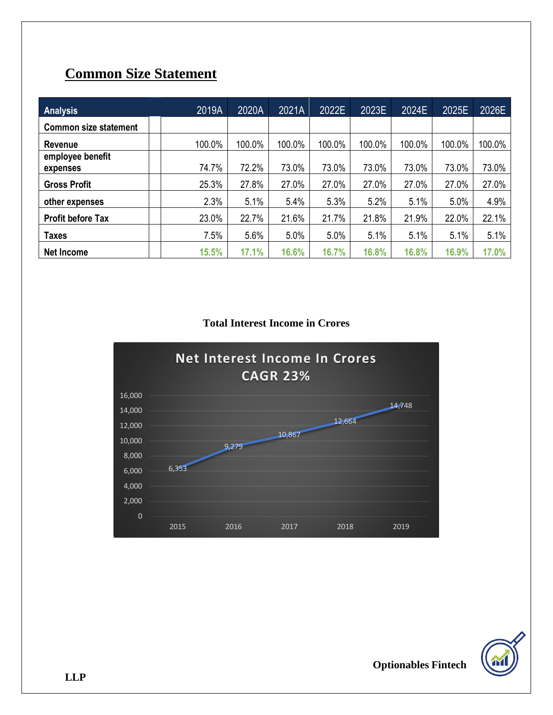# **Common Size Statement**

| <b>Analysis</b>              | 2019A  | 2020A  | 2021A  | 2022E  | 2023E  | 2024E  | 2025E  | 2026E  |
|------------------------------|--------|--------|--------|--------|--------|--------|--------|--------|
| <b>Common size statement</b> |        |        |        |        |        |        |        |        |
| Revenue                      | 100.0% | 100.0% | 100.0% | 100.0% | 100.0% | 100.0% | 100.0% | 100.0% |
| employee benefit<br>expenses | 74.7%  | 72.2%  | 73.0%  | 73.0%  | 73.0%  | 73.0%  | 73.0%  | 73.0%  |
| <b>Gross Profit</b>          | 25.3%  | 27.8%  | 27.0%  | 27.0%  | 27.0%  | 27.0%  | 27.0%  | 27.0%  |
| other expenses               | 2.3%   | 5.1%   | 5.4%   | 5.3%   | 5.2%   | 5.1%   | 5.0%   | 4.9%   |
| <b>Profit before Tax</b>     | 23.0%  | 22.7%  | 21.6%  | 21.7%  | 21.8%  | 21.9%  | 22.0%  | 22.1%  |
| <b>Taxes</b>                 | 7.5%   | 5.6%   | 5.0%   | 5.0%   | 5.1%   | 5.1%   | 5.1%   | 5.1%   |
| <b>Net Income</b>            | 15.5%  | 17.1%  | 16.6%  | 16.7%  | 16.8%  | 16.8%  | 16.9%  | 17.0%  |

#### **Total Interest Income in Crores**



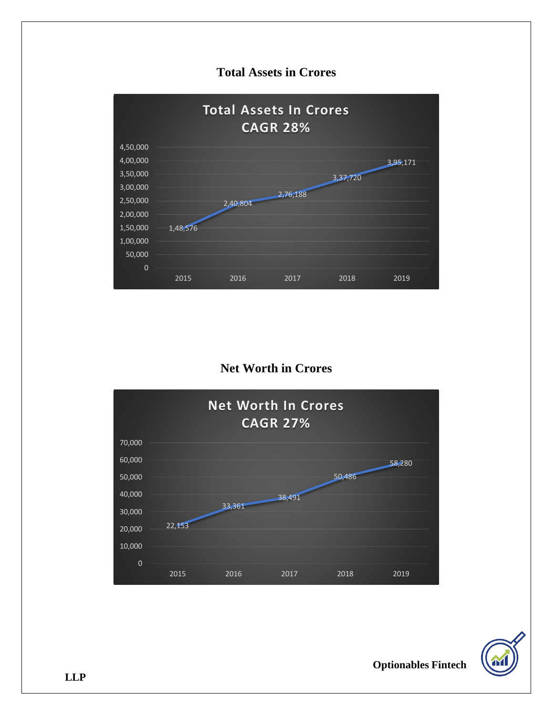### **Total Assets in Crores**



### **Net Worth in Crores**



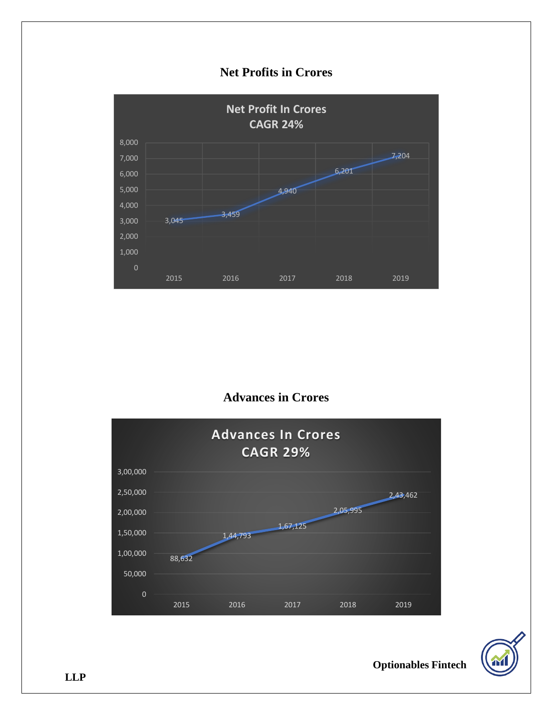### **Net Profits in Crores**



### **Advances in Crores**





**Optionables Fintech** 

**LLP**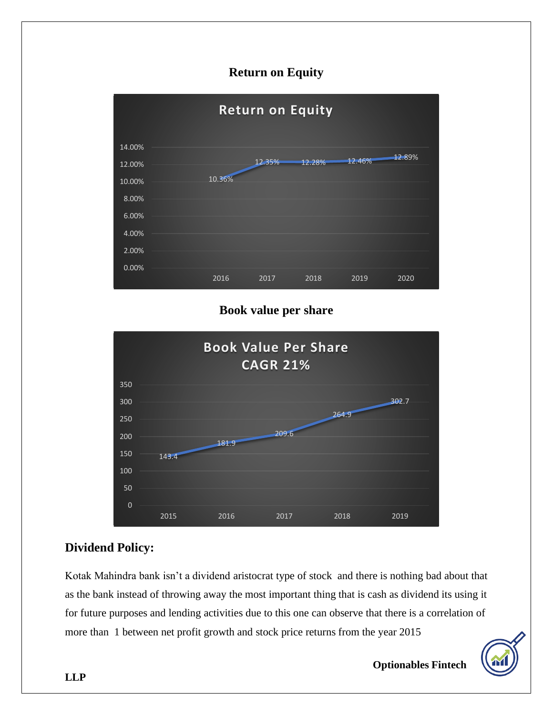### **Return on Equity**



#### **Book value per share**



### **Dividend Policy:**

Kotak Mahindra bank isn't a dividend aristocrat type of stock and there is nothing bad about that as the bank instead of throwing away the most important thing that is cash as dividend its using it for future purposes and lending activities due to this one can observe that there is a correlation of more than 1 between net profit growth and stock price returns from the year 2015

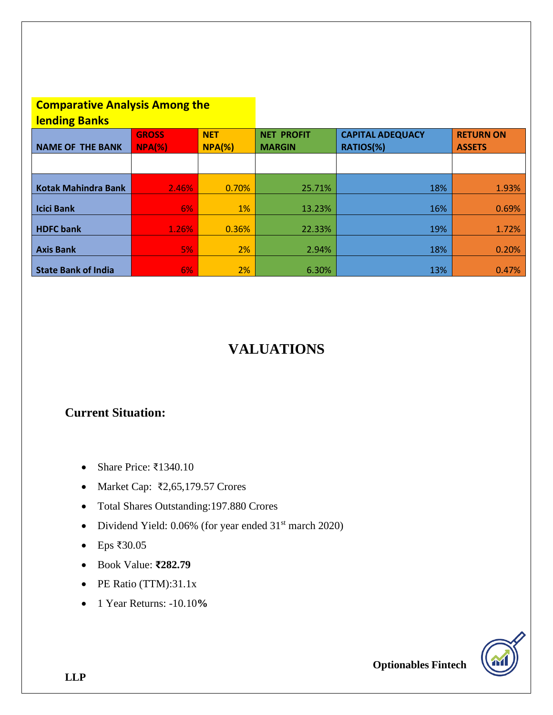#### **Comparative Analysis Among the lending Banks**

| <u>ICHUMIS DUING</u>       |              |                 |                   |                         |               |
|----------------------------|--------------|-----------------|-------------------|-------------------------|---------------|
|                            | <b>GROSS</b> | <b>NET</b>      | <b>NET PROFIT</b> | <b>CAPITAL ADEQUACY</b> |               |
| <b>NAME OF THE BANK</b>    | $NPA(\%)$    | $NPA(% \theta)$ | <b>MARGIN</b>     | RATIOS(%)               | <b>ASSETS</b> |
|                            |              |                 |                   |                         |               |
|                            |              |                 |                   |                         |               |
|                            |              |                 |                   |                         |               |
| <b>Kotak Mahindra Bank</b> | 2.46%        | 0.70%           | 25.71%            | 18%                     | 1.93%         |
|                            |              |                 |                   |                         |               |
| <b>Icici Bank</b>          | 6%           | 1%              | 13.23%            | 16%                     | 0.69%         |
|                            |              |                 |                   |                         |               |
| <b>HDFC</b> bank           | 1.26%        | 0.36%           | 22.33%            | 19%                     | 1.72%         |
|                            |              |                 |                   |                         |               |
| <b>Axis Bank</b>           | 5%           | 2%              | 2.94%             | 18%                     | 0.20%         |
|                            |              |                 |                   |                         |               |
| <b>State Bank of India</b> | 6%           | 2%              | 6.30%             | 13%                     | 0.47%         |

# **VALUATIONS**

### **Current Situation:**

- Share Price: ₹1340.10
- Market Cap: ₹2,65,179.57 Crores
- Total Shares Outstanding:197.880 Crores
- Dividend Yield: 0.06% (for year ended 31<sup>st</sup> march 2020)
- Eps ₹30.05
- Book Value: **₹282.79**
- PE Ratio (TTM):31.1x
- 1 Year Returns: -10.10**%**

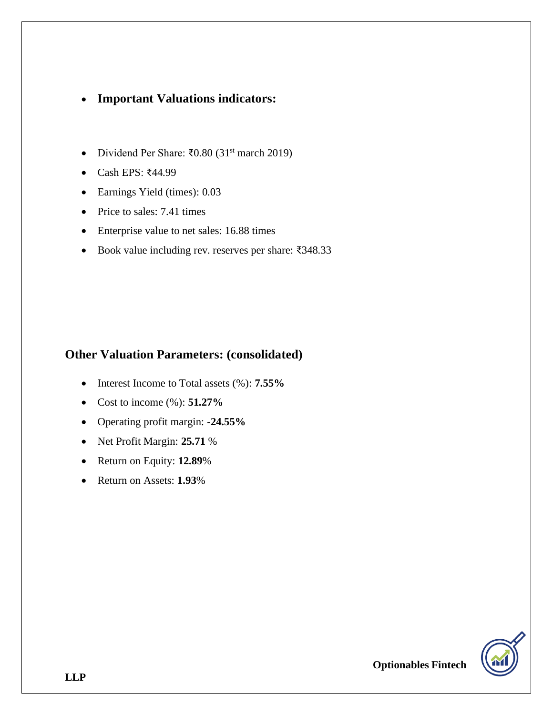#### • **Important Valuations indicators:**

- Dividend Per Share: ₹0.80 (31st march 2019)
- Cash EPS: ₹44.99
- Earnings Yield (times): 0.03
- Price to sales: 7.41 times
- Enterprise value to net sales: 16.88 times
- Book value including rev. reserves per share: ₹348.33

#### **Other Valuation Parameters: (consolidated)**

- Interest Income to Total assets (%): **7.55%**
- Cost to income (%): **51.27%**
- Operating profit margin: **-24.55%**
- Net Profit Margin: **25.71** %
- Return on Equity: **12.89**%
- Return on Assets: **1.93**%

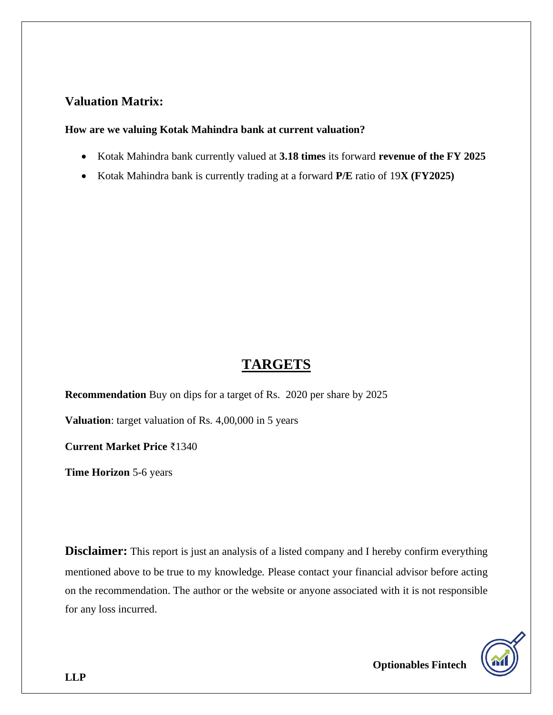#### **Valuation Matrix:**

#### **How are we valuing Kotak Mahindra bank at current valuation?**

- Kotak Mahindra bank currently valued at **3.18 times** its forward **revenue of the FY 2025**
- Kotak Mahindra bank is currently trading at a forward **P/E** ratio of 19**X (FY2025)**

### **TARGETS**

**Recommendation** Buy on dips for a target of Rs. 2020 per share by 2025

**Valuation**: target valuation of Rs. 4,00,000 in 5 years

**Current Market Price** ₹1340

**Time Horizon** 5-6 years

**Disclaimer:** This report is just an analysis of a listed company and I hereby confirm everything mentioned above to be true to my knowledge. Please contact your financial advisor before acting on the recommendation. The author or the website or anyone associated with it is not responsible for any loss incurred.